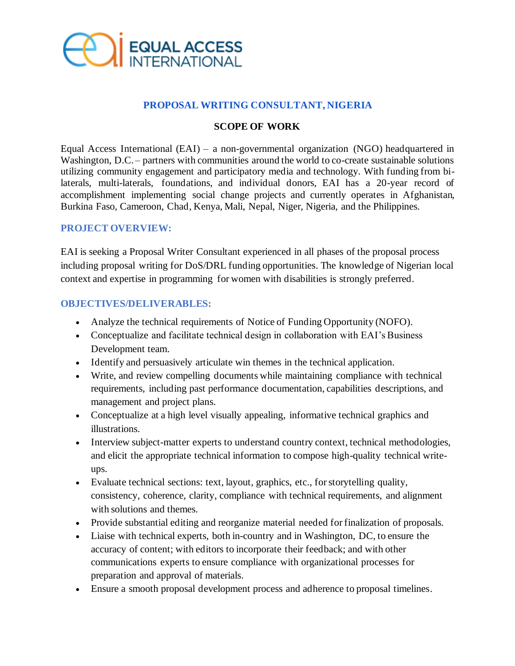

# **PROPOSAL WRITING CONSULTANT, NIGERIA**

### **SCOPE OF WORK**

Equal Access International (EAI) – a non-governmental organization (NGO) headquartered in Washington, D.C. – partners with communities around the world to co-create sustainable solutions utilizing community engagement and participatory media and technology. With funding from bilaterals, multi-laterals, foundations, and individual donors, EAI has a 20-year record of accomplishment implementing social change projects and currently operates in Afghanistan, Burkina Faso, Cameroon, Chad, Kenya, Mali, Nepal, Niger, Nigeria, and the Philippines.

### **PROJECT OVERVIEW:**

EAI is seeking a Proposal Writer Consultant experienced in all phases of the proposal process including proposal writing for DoS/DRL funding opportunities. The knowledge of Nigerian local context and expertise in programming for women with disabilities is strongly preferred.

#### **OBJECTIVES/DELIVERABLES:**

- Analyze the technical requirements of Notice of Funding Opportunity (NOFO).
- Conceptualize and facilitate technical design in collaboration with EAI's Business Development team.
- Identify and persuasively articulate win themes in the technical application.
- Write, and review compelling documents while maintaining compliance with technical requirements, including past performance documentation, capabilities descriptions, and management and project plans.
- Conceptualize at a high level visually appealing, informative technical graphics and illustrations.
- Interview subject-matter experts to understand country context, technical methodologies, and elicit the appropriate technical information to compose high-quality technical writeups.
- Evaluate technical sections: text, layout, graphics, etc., for storytelling quality, consistency, coherence, clarity, compliance with technical requirements, and alignment with solutions and themes.
- Provide substantial editing and reorganize material needed for finalization of proposals.
- Liaise with technical experts, both in-country and in Washington, DC, to ensure the accuracy of content; with editors to incorporate their feedback; and with other communications experts to ensure compliance with organizational processes for preparation and approval of materials.
- Ensure a smooth proposal development process and adherence to proposal timelines.